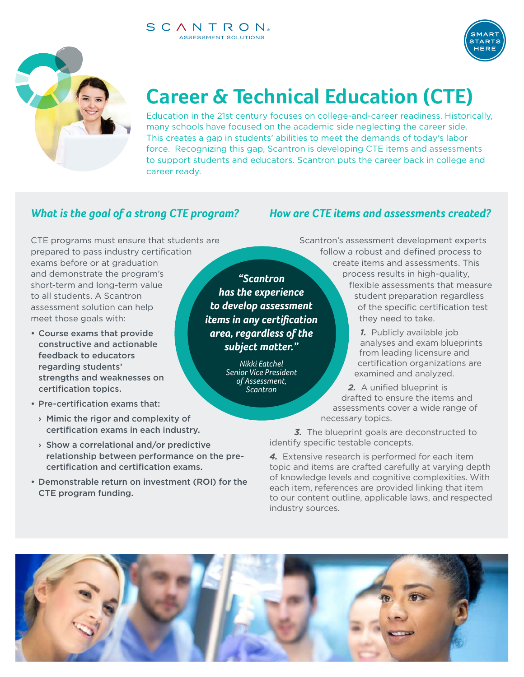#### SCANTRON. ASSESSMENT SOLUTIONS



# **Career & Technical Education (CTE)**

Education in the 21st century focuses on college-and-career readiness. Historically, many schools have focused on the academic side neglecting the career side. This creates a gap in students' abilities to meet the demands of today's labor force. Recognizing this gap, Scantron is developing CTE items and assessments to support students and educators. Scantron puts the career back in college and career ready.

# *What is the goal of a strong CTE program?*

CTE programs must ensure that students are prepared to pass industry certification exams before or at graduation and demonstrate the program's short-term and long-term value to all students. A Scantron assessment solution can help meet those goals with:

- Course exams that provide constructive and actionable feedback to educators regarding students' strengths and weaknesses on certification topics.
- Pre-certification exams that:
	- › Mimic the rigor and complexity of certification exams in each industry.
	- › Show a correlational and/or predictive relationship between performance on the precertification and certification exams.
- Demonstrable return on investment (ROI) for the CTE program funding.

*"Scantron has the experience to develop assessment items in any certification area, regardless of the subject matter."*

> *Nikki Eatchel Senior Vice President of Assessment, Scantron*

*How are CTE items and assessments created?*

Scantron's assessment development experts follow a robust and defined process to create items and assessments. This process results in high-quality, flexible assessments that measure student preparation regardless of the specific certification test they need to take.

**TAPT** 

*1.* Publicly available job analyses and exam blueprints from leading licensure and certification organizations are examined and analyzed.

2. A unified blueprint is drafted to ensure the items and assessments cover a wide range of necessary topics.

**3.** The blueprint goals are deconstructed to identify specific testable concepts.

*4.* Extensive research is performed for each item topic and items are crafted carefully at varying depth of knowledge levels and cognitive complexities. With each item, references are provided linking that item to our content outline, applicable laws, and respected industry sources.